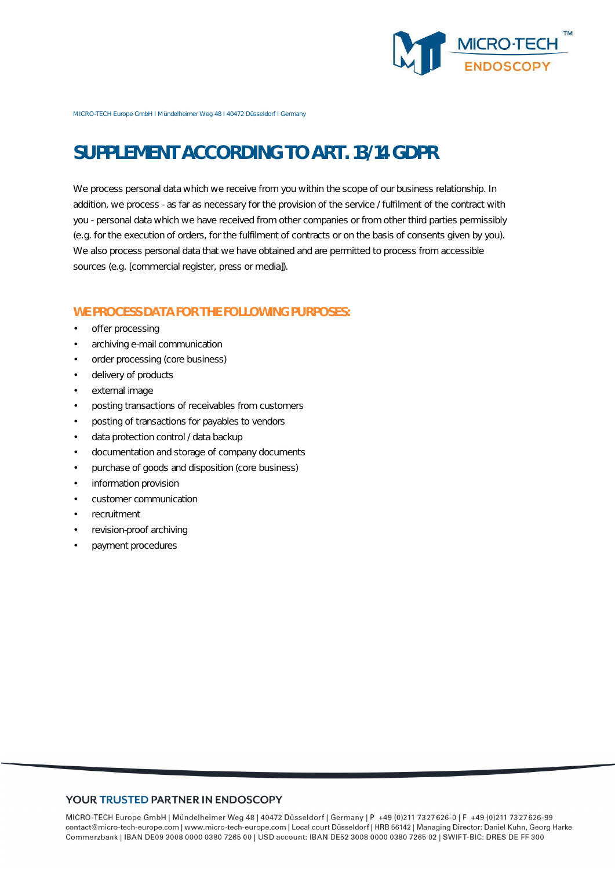

MICRO-TECH Europe GmbH I Mündelheimer Weg 48 I 40472 Düsseldorf I Germany

# **SUPPLEMENT ACCORDING TO ART. 13/14 GDPR**

We process personal data which we receive from you within the scope of our business relationship. In addition, we process - as far as necessary for the provision of the service / fulfilment of the contract with you - personal data which we have received from other companies or from other third parties permissibly (e.g. for the execution of orders, for the fulfilment of contracts or on the basis of consents given by you). We also process personal data that we have obtained and are permitted to process from accessible sources (e.g. [commercial register, press or media]).

#### **WE PROCESS DATA FOR THE FOLLOWING PURPOSES:**

- offer processing
- archiving e-mail communication
- order processing (core business)
- delivery of products
- external image
- posting transactions of receivables from customers
- posting of transactions for payables to vendors
- data protection control / data backup
- documentation and storage of company documents
- purchase of goods and disposition (core business)
- information provision
- customer communication
- recruitment
- revision-proof archiving
- payment procedures

#### YOUR TRUSTED PARTNER IN ENDOSCOPY

MICRO-TECH Europe GmbH | Mündelheimer Weg 48 | 40472 Düsseldorf | Germany | P +49 (0)211 7327626-0 | F +49 (0)211 7327626-99 contact@micro-tech-europe.com | www.micro-tech-europe.com | Local court Düsseldorf | HRB 56142 | Managing Director: Daniel Kuhn, Georg Harke Commerzbank | IBAN DE09 3008 0000 0380 7265 00 | USD account: IBAN DE52 3008 0000 0380 7265 02 | SWIFT-BIC: DRES DE FF 300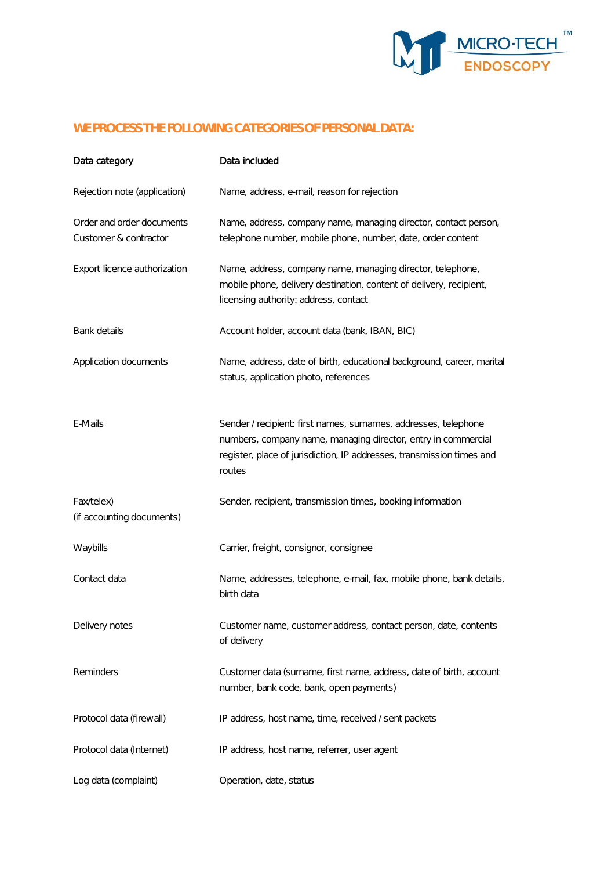

# **WE PROCESS THE FOLLOWING CATEGORIES OF PERSONAL DATA:**

| Data category                                      | Data included                                                                                                                                                                                                       |
|----------------------------------------------------|---------------------------------------------------------------------------------------------------------------------------------------------------------------------------------------------------------------------|
| Rejection note (application)                       | Name, address, e-mail, reason for rejection                                                                                                                                                                         |
| Order and order documents<br>Customer & contractor | Name, address, company name, managing director, contact person,<br>telephone number, mobile phone, number, date, order content                                                                                      |
| Export licence authorization                       | Name, address, company name, managing director, telephone,<br>mobile phone, delivery destination, content of delivery, recipient,<br>licensing authority: address, contact                                          |
| Bank details                                       | Account holder, account data (bank, IBAN, BIC)                                                                                                                                                                      |
| Application documents                              | Name, address, date of birth, educational background, career, marital<br>status, application photo, references                                                                                                      |
| E-Mails                                            | Sender / recipient: first names, surnames, addresses, telephone<br>numbers, company name, managing director, entry in commercial<br>register, place of jurisdiction, IP addresses, transmission times and<br>routes |
| Fax/telex)<br>(if accounting documents)            | Sender, recipient, transmission times, booking information                                                                                                                                                          |
| Waybills                                           | Carrier, freight, consignor, consignee                                                                                                                                                                              |
| Contact data                                       | Name, addresses, telephone, e-mail, fax, mobile phone, bank details,<br>birth data                                                                                                                                  |
| Delivery notes                                     | Customer name, customer address, contact person, date, contents<br>of delivery                                                                                                                                      |
| Reminders                                          | Customer data (surname, first name, address, date of birth, account<br>number, bank code, bank, open payments)                                                                                                      |
| Protocol data (firewall)                           | IP address, host name, time, received / sent packets                                                                                                                                                                |
| Protocol data (Internet)                           | IP address, host name, referrer, user agent                                                                                                                                                                         |
| Log data (complaint)                               | Operation, date, status                                                                                                                                                                                             |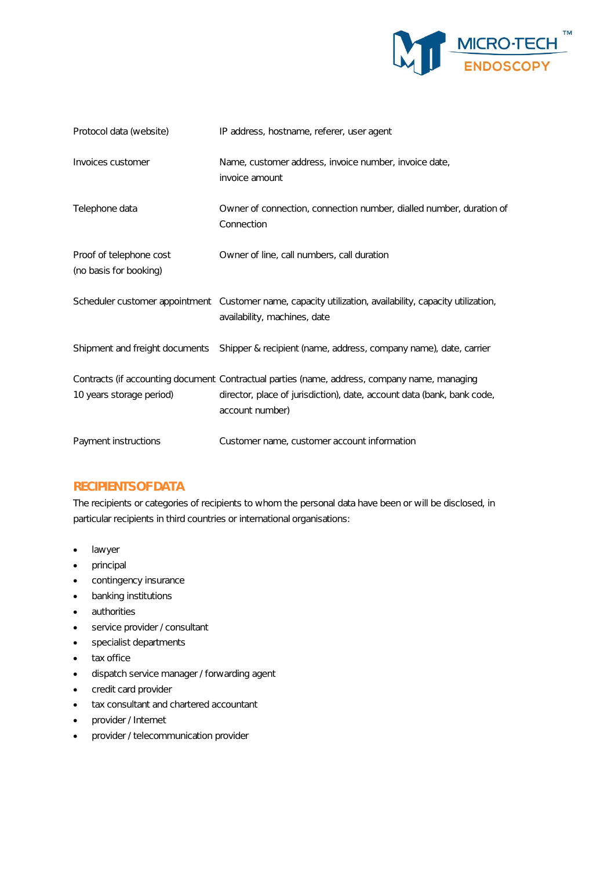

| Protocol data (website)                           | IP address, hostname, referer, user agent                                                                                                                                                 |
|---------------------------------------------------|-------------------------------------------------------------------------------------------------------------------------------------------------------------------------------------------|
| Invoices customer                                 | Name, customer address, invoice number, invoice date,<br>invoice amount                                                                                                                   |
| Telephone data                                    | Owner of connection, connection number, dialled number, duration of<br>Connection                                                                                                         |
| Proof of telephone cost<br>(no basis for booking) | Owner of line, call numbers, call duration                                                                                                                                                |
|                                                   | Scheduler customer appointment Customer name, capacity utilization, availability, capacity utilization,<br>availability, machines, date                                                   |
|                                                   | Shipment and freight documents Shipper & recipient (name, address, company name), date, carrier                                                                                           |
| 10 years storage period)                          | Contracts (if accounting document Contractual parties (name, address, company name, managing<br>director, place of jurisdiction), date, account data (bank, bank code,<br>account number) |
| Payment instructions                              | Customer name, customer account information                                                                                                                                               |

## **RECIPIENTS OF DATA**

The recipients or categories of recipients to whom the personal data have been or will be disclosed, in particular recipients in third countries or international organisations:

- lawyer
- principal
- contingency insurance
- banking institutions
- authorities
- service provider / consultant
- specialist departments
- tax office
- dispatch service manager / forwarding agent
- credit card provider
- tax consultant and chartered accountant
- provider / Internet
- provider / telecommunication provider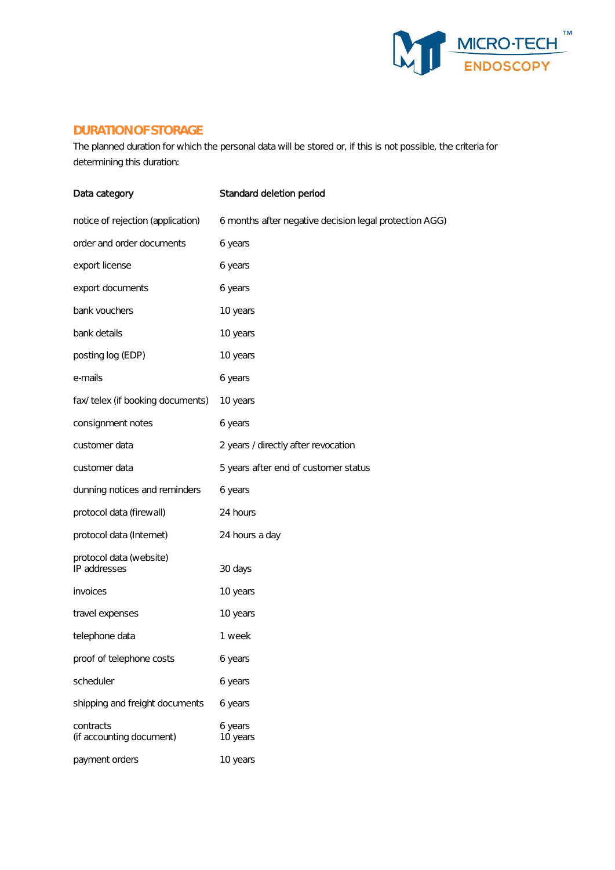

#### **DURATION OF STORAGE**

The planned duration for which the personal data will be stored or, if this is not possible, the criteria for determining this duration:

| Data category                           | Standard deletion period                               |
|-----------------------------------------|--------------------------------------------------------|
| notice of rejection (application)       | 6 months after negative decision legal protection AGG) |
| order and order documents               | 6 years                                                |
| export license                          | 6 years                                                |
| export documents                        | 6 years                                                |
| bank vouchers                           | 10 years                                               |
| bank details                            | 10 years                                               |
| posting log (EDP)                       | 10 years                                               |
| e-mails                                 | 6 years                                                |
| fax/ telex (if booking documents)       | 10 years                                               |
| consignment notes                       | 6 years                                                |
| customer data                           | 2 years / directly after revocation                    |
| customer data                           | 5 years after end of customer status                   |
| dunning notices and reminders           | 6 years                                                |
| protocol data (firewall)                | 24 hours                                               |
| protocol data (Internet)                | 24 hours a day                                         |
| protocol data (website)<br>IP addresses | 30 days                                                |
| invoices                                | 10 years                                               |
| travel expenses                         | 10 years                                               |
| telephone data                          | 1 week                                                 |
| proof of telephone costs                | 6 years                                                |
| scheduler                               | 6 years                                                |
| shipping and freight documents          | 6 years                                                |
| contracts<br>(if accounting document)   | 6 years<br>10 years                                    |
| payment orders                          | 10 years                                               |